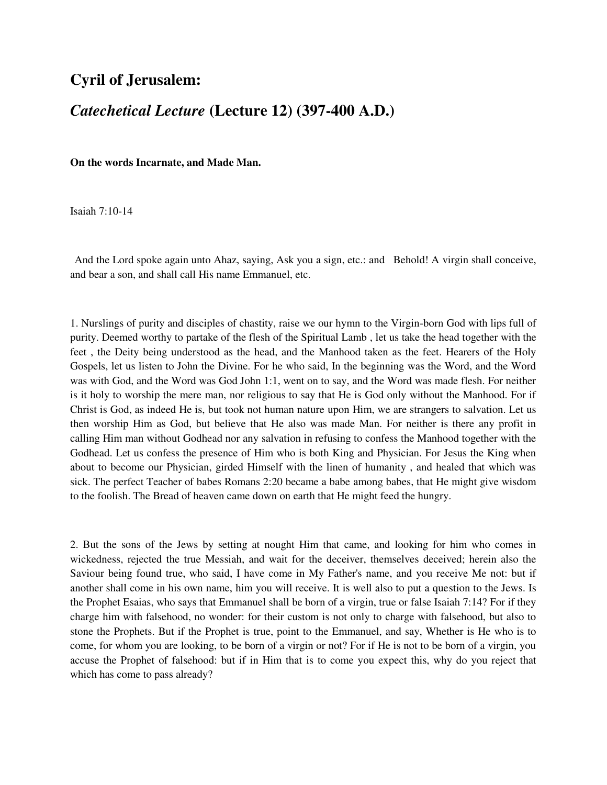## **Cyril of Jerusalem:**

## *Catechetical Lecture* **(Lecture 12) (397-400 A.D.)**

**On the words Incarnate, and Made Man.** 

Isaiah 7:10-14

 And the Lord spoke again unto Ahaz, saying, Ask you a sign, etc.: and Behold! A virgin shall conceive, and bear a son, and shall call His name Emmanuel, etc.

1. Nurslings of purity and disciples of chastity, raise we our hymn to the Virgin-born God with lips full of purity. Deemed worthy to partake of the flesh of the Spiritual Lamb , let us take the head together with the feet , the Deity being understood as the head, and the Manhood taken as the feet. Hearers of the Holy Gospels, let us listen to John the Divine. For he who said, In the beginning was the Word, and the Word was with God, and the Word was God John 1:1, went on to say, and the Word was made flesh. For neither is it holy to worship the mere man, nor religious to say that He is God only without the Manhood. For if Christ is God, as indeed He is, but took not human nature upon Him, we are strangers to salvation. Let us then worship Him as God, but believe that He also was made Man. For neither is there any profit in calling Him man without Godhead nor any salvation in refusing to confess the Manhood together with the Godhead. Let us confess the presence of Him who is both King and Physician. For Jesus the King when about to become our Physician, girded Himself with the linen of humanity , and healed that which was sick. The perfect Teacher of babes Romans 2:20 became a babe among babes, that He might give wisdom to the foolish. The Bread of heaven came down on earth that He might feed the hungry.

2. But the sons of the Jews by setting at nought Him that came, and looking for him who comes in wickedness, rejected the true Messiah, and wait for the deceiver, themselves deceived; herein also the Saviour being found true, who said, I have come in My Father's name, and you receive Me not: but if another shall come in his own name, him you will receive. It is well also to put a question to the Jews. Is the Prophet Esaias, who says that Emmanuel shall be born of a virgin, true or false Isaiah 7:14? For if they charge him with falsehood, no wonder: for their custom is not only to charge with falsehood, but also to stone the Prophets. But if the Prophet is true, point to the Emmanuel, and say, Whether is He who is to come, for whom you are looking, to be born of a virgin or not? For if He is not to be born of a virgin, you accuse the Prophet of falsehood: but if in Him that is to come you expect this, why do you reject that which has come to pass already?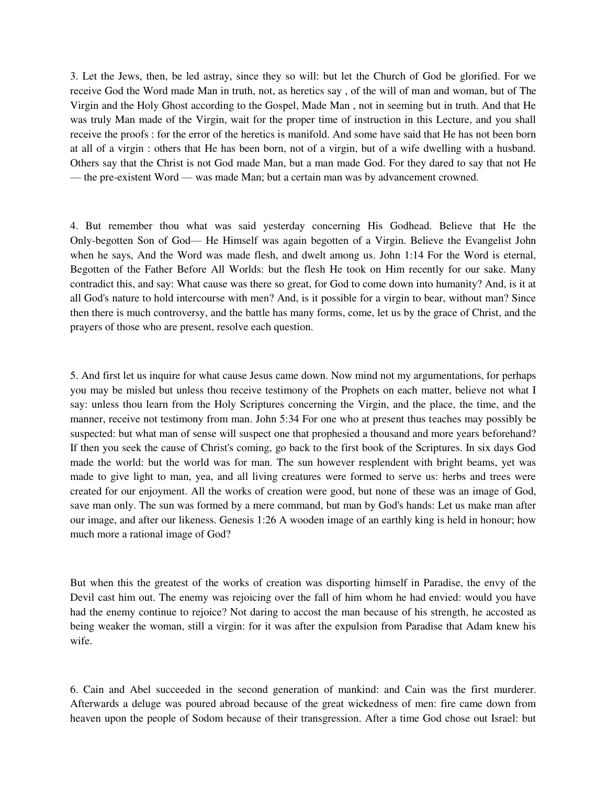3. Let the Jews, then, be led astray, since they so will: but let the Church of God be glorified. For we receive God the Word made Man in truth, not, as heretics say , of the will of man and woman, but of The Virgin and the Holy Ghost according to the Gospel, Made Man , not in seeming but in truth. And that He was truly Man made of the Virgin, wait for the proper time of instruction in this Lecture, and you shall receive the proofs : for the error of the heretics is manifold. And some have said that He has not been born at all of a virgin : others that He has been born, not of a virgin, but of a wife dwelling with a husband. Others say that the Christ is not God made Man, but a man made God. For they dared to say that not He — the pre-existent Word — was made Man; but a certain man was by advancement crowned.

4. But remember thou what was said yesterday concerning His Godhead. Believe that He the Only-begotten Son of God— He Himself was again begotten of a Virgin. Believe the Evangelist John when he says, And the Word was made flesh, and dwelt among us. John 1:14 For the Word is eternal, Begotten of the Father Before All Worlds: but the flesh He took on Him recently for our sake. Many contradict this, and say: What cause was there so great, for God to come down into humanity? And, is it at all God's nature to hold intercourse with men? And, is it possible for a virgin to bear, without man? Since then there is much controversy, and the battle has many forms, come, let us by the grace of Christ, and the prayers of those who are present, resolve each question.

5. And first let us inquire for what cause Jesus came down. Now mind not my argumentations, for perhaps you may be misled but unless thou receive testimony of the Prophets on each matter, believe not what I say: unless thou learn from the Holy Scriptures concerning the Virgin, and the place, the time, and the manner, receive not testimony from man. John 5:34 For one who at present thus teaches may possibly be suspected: but what man of sense will suspect one that prophesied a thousand and more years beforehand? If then you seek the cause of Christ's coming, go back to the first book of the Scriptures. In six days God made the world: but the world was for man. The sun however resplendent with bright beams, yet was made to give light to man, yea, and all living creatures were formed to serve us: herbs and trees were created for our enjoyment. All the works of creation were good, but none of these was an image of God, save man only. The sun was formed by a mere command, but man by God's hands: Let us make man after our image, and after our likeness. Genesis 1:26 A wooden image of an earthly king is held in honour; how much more a rational image of God?

But when this the greatest of the works of creation was disporting himself in Paradise, the envy of the Devil cast him out. The enemy was rejoicing over the fall of him whom he had envied: would you have had the enemy continue to rejoice? Not daring to accost the man because of his strength, he accosted as being weaker the woman, still a virgin: for it was after the expulsion from Paradise that Adam knew his wife.

6. Cain and Abel succeeded in the second generation of mankind: and Cain was the first murderer. Afterwards a deluge was poured abroad because of the great wickedness of men: fire came down from heaven upon the people of Sodom because of their transgression. After a time God chose out Israel: but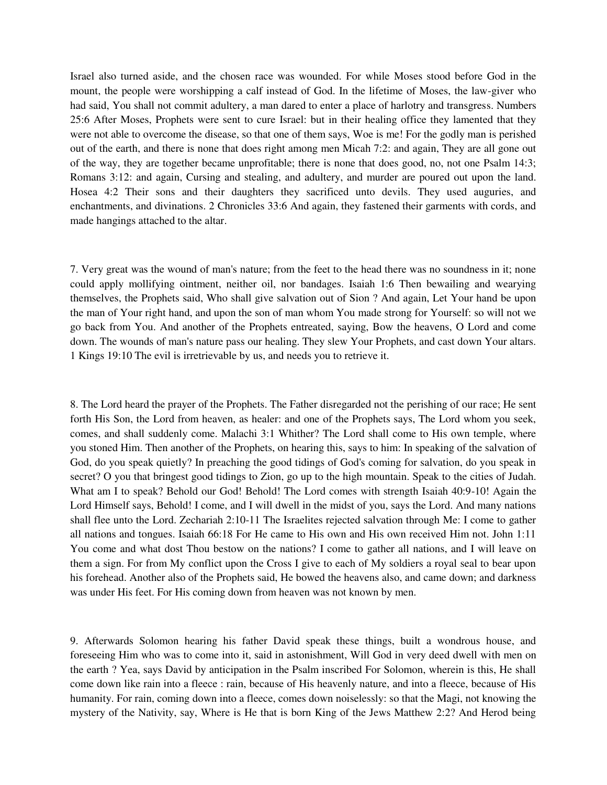Israel also turned aside, and the chosen race was wounded. For while Moses stood before God in the mount, the people were worshipping a calf instead of God. In the lifetime of Moses, the law-giver who had said, You shall not commit adultery, a man dared to enter a place of harlotry and transgress. Numbers 25:6 After Moses, Prophets were sent to cure Israel: but in their healing office they lamented that they were not able to overcome the disease, so that one of them says, Woe is me! For the godly man is perished out of the earth, and there is none that does right among men Micah 7:2: and again, They are all gone out of the way, they are together became unprofitable; there is none that does good, no, not one Psalm 14:3; Romans 3:12: and again, Cursing and stealing, and adultery, and murder are poured out upon the land. Hosea 4:2 Their sons and their daughters they sacrificed unto devils. They used auguries, and enchantments, and divinations. 2 Chronicles 33:6 And again, they fastened their garments with cords, and made hangings attached to the altar.

7. Very great was the wound of man's nature; from the feet to the head there was no soundness in it; none could apply mollifying ointment, neither oil, nor bandages. Isaiah 1:6 Then bewailing and wearying themselves, the Prophets said, Who shall give salvation out of Sion ? And again, Let Your hand be upon the man of Your right hand, and upon the son of man whom You made strong for Yourself: so will not we go back from You. And another of the Prophets entreated, saying, Bow the heavens, O Lord and come down. The wounds of man's nature pass our healing. They slew Your Prophets, and cast down Your altars. 1 Kings 19:10 The evil is irretrievable by us, and needs you to retrieve it.

8. The Lord heard the prayer of the Prophets. The Father disregarded not the perishing of our race; He sent forth His Son, the Lord from heaven, as healer: and one of the Prophets says, The Lord whom you seek, comes, and shall suddenly come. Malachi 3:1 Whither? The Lord shall come to His own temple, where you stoned Him. Then another of the Prophets, on hearing this, says to him: In speaking of the salvation of God, do you speak quietly? In preaching the good tidings of God's coming for salvation, do you speak in secret? O you that bringest good tidings to Zion, go up to the high mountain. Speak to the cities of Judah. What am I to speak? Behold our God! Behold! The Lord comes with strength Isaiah 40:9-10! Again the Lord Himself says, Behold! I come, and I will dwell in the midst of you, says the Lord. And many nations shall flee unto the Lord. Zechariah 2:10-11 The Israelites rejected salvation through Me: I come to gather all nations and tongues. Isaiah 66:18 For He came to His own and His own received Him not. John 1:11 You come and what dost Thou bestow on the nations? I come to gather all nations, and I will leave on them a sign. For from My conflict upon the Cross I give to each of My soldiers a royal seal to bear upon his forehead. Another also of the Prophets said, He bowed the heavens also, and came down; and darkness was under His feet. For His coming down from heaven was not known by men.

9. Afterwards Solomon hearing his father David speak these things, built a wondrous house, and foreseeing Him who was to come into it, said in astonishment, Will God in very deed dwell with men on the earth ? Yea, says David by anticipation in the Psalm inscribed For Solomon, wherein is this, He shall come down like rain into a fleece : rain, because of His heavenly nature, and into a fleece, because of His humanity. For rain, coming down into a fleece, comes down noiselessly: so that the Magi, not knowing the mystery of the Nativity, say, Where is He that is born King of the Jews Matthew 2:2? And Herod being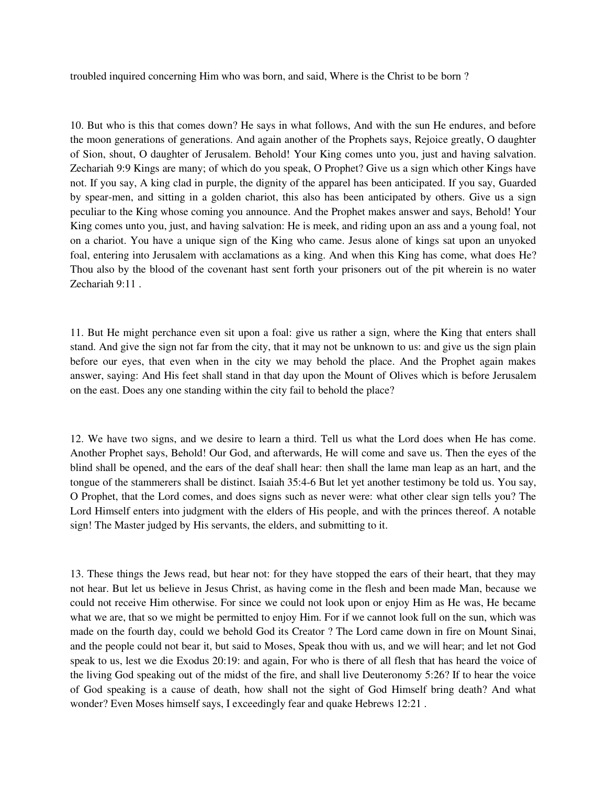troubled inquired concerning Him who was born, and said, Where is the Christ to be born ?

10. But who is this that comes down? He says in what follows, And with the sun He endures, and before the moon generations of generations. And again another of the Prophets says, Rejoice greatly, O daughter of Sion, shout, O daughter of Jerusalem. Behold! Your King comes unto you, just and having salvation. Zechariah 9:9 Kings are many; of which do you speak, O Prophet? Give us a sign which other Kings have not. If you say, A king clad in purple, the dignity of the apparel has been anticipated. If you say, Guarded by spear-men, and sitting in a golden chariot, this also has been anticipated by others. Give us a sign peculiar to the King whose coming you announce. And the Prophet makes answer and says, Behold! Your King comes unto you, just, and having salvation: He is meek, and riding upon an ass and a young foal, not on a chariot. You have a unique sign of the King who came. Jesus alone of kings sat upon an unyoked foal, entering into Jerusalem with acclamations as a king. And when this King has come, what does He? Thou also by the blood of the covenant hast sent forth your prisoners out of the pit wherein is no water Zechariah 9:11 .

11. But He might perchance even sit upon a foal: give us rather a sign, where the King that enters shall stand. And give the sign not far from the city, that it may not be unknown to us: and give us the sign plain before our eyes, that even when in the city we may behold the place. And the Prophet again makes answer, saying: And His feet shall stand in that day upon the Mount of Olives which is before Jerusalem on the east. Does any one standing within the city fail to behold the place?

12. We have two signs, and we desire to learn a third. Tell us what the Lord does when He has come. Another Prophet says, Behold! Our God, and afterwards, He will come and save us. Then the eyes of the blind shall be opened, and the ears of the deaf shall hear: then shall the lame man leap as an hart, and the tongue of the stammerers shall be distinct. Isaiah 35:4-6 But let yet another testimony be told us. You say, O Prophet, that the Lord comes, and does signs such as never were: what other clear sign tells you? The Lord Himself enters into judgment with the elders of His people, and with the princes thereof. A notable sign! The Master judged by His servants, the elders, and submitting to it.

13. These things the Jews read, but hear not: for they have stopped the ears of their heart, that they may not hear. But let us believe in Jesus Christ, as having come in the flesh and been made Man, because we could not receive Him otherwise. For since we could not look upon or enjoy Him as He was, He became what we are, that so we might be permitted to enjoy Him. For if we cannot look full on the sun, which was made on the fourth day, could we behold God its Creator ? The Lord came down in fire on Mount Sinai, and the people could not bear it, but said to Moses, Speak thou with us, and we will hear; and let not God speak to us, lest we die Exodus 20:19: and again, For who is there of all flesh that has heard the voice of the living God speaking out of the midst of the fire, and shall live Deuteronomy 5:26? If to hear the voice of God speaking is a cause of death, how shall not the sight of God Himself bring death? And what wonder? Even Moses himself says, I exceedingly fear and quake Hebrews 12:21 .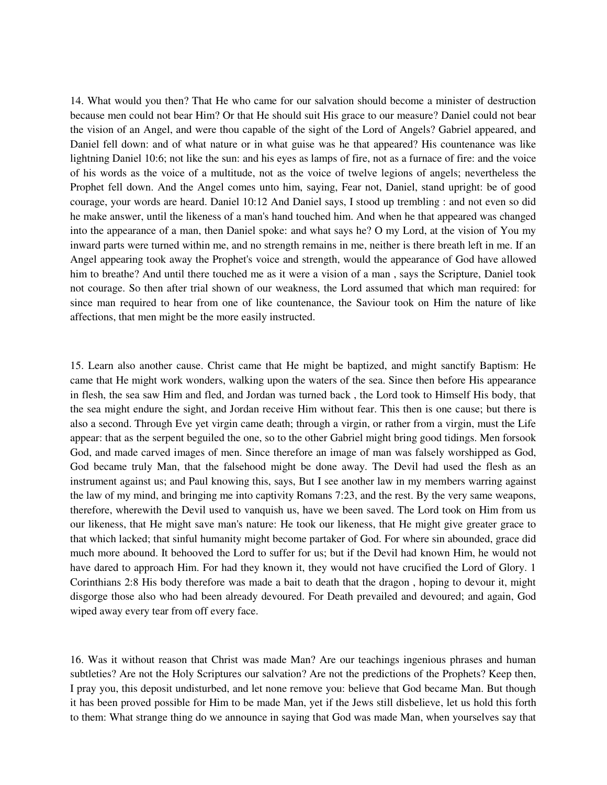14. What would you then? That He who came for our salvation should become a minister of destruction because men could not bear Him? Or that He should suit His grace to our measure? Daniel could not bear the vision of an Angel, and were thou capable of the sight of the Lord of Angels? Gabriel appeared, and Daniel fell down: and of what nature or in what guise was he that appeared? His countenance was like lightning Daniel 10:6; not like the sun: and his eyes as lamps of fire, not as a furnace of fire: and the voice of his words as the voice of a multitude, not as the voice of twelve legions of angels; nevertheless the Prophet fell down. And the Angel comes unto him, saying, Fear not, Daniel, stand upright: be of good courage, your words are heard. Daniel 10:12 And Daniel says, I stood up trembling : and not even so did he make answer, until the likeness of a man's hand touched him. And when he that appeared was changed into the appearance of a man, then Daniel spoke: and what says he? O my Lord, at the vision of You my inward parts were turned within me, and no strength remains in me, neither is there breath left in me. If an Angel appearing took away the Prophet's voice and strength, would the appearance of God have allowed him to breathe? And until there touched me as it were a vision of a man, says the Scripture, Daniel took not courage. So then after trial shown of our weakness, the Lord assumed that which man required: for since man required to hear from one of like countenance, the Saviour took on Him the nature of like affections, that men might be the more easily instructed.

15. Learn also another cause. Christ came that He might be baptized, and might sanctify Baptism: He came that He might work wonders, walking upon the waters of the sea. Since then before His appearance in flesh, the sea saw Him and fled, and Jordan was turned back , the Lord took to Himself His body, that the sea might endure the sight, and Jordan receive Him without fear. This then is one cause; but there is also a second. Through Eve yet virgin came death; through a virgin, or rather from a virgin, must the Life appear: that as the serpent beguiled the one, so to the other Gabriel might bring good tidings. Men forsook God, and made carved images of men. Since therefore an image of man was falsely worshipped as God, God became truly Man, that the falsehood might be done away. The Devil had used the flesh as an instrument against us; and Paul knowing this, says, But I see another law in my members warring against the law of my mind, and bringing me into captivity Romans 7:23, and the rest. By the very same weapons, therefore, wherewith the Devil used to vanquish us, have we been saved. The Lord took on Him from us our likeness, that He might save man's nature: He took our likeness, that He might give greater grace to that which lacked; that sinful humanity might become partaker of God. For where sin abounded, grace did much more abound. It behooved the Lord to suffer for us; but if the Devil had known Him, he would not have dared to approach Him. For had they known it, they would not have crucified the Lord of Glory. 1 Corinthians 2:8 His body therefore was made a bait to death that the dragon , hoping to devour it, might disgorge those also who had been already devoured. For Death prevailed and devoured; and again, God wiped away every tear from off every face.

16. Was it without reason that Christ was made Man? Are our teachings ingenious phrases and human subtleties? Are not the Holy Scriptures our salvation? Are not the predictions of the Prophets? Keep then, I pray you, this deposit undisturbed, and let none remove you: believe that God became Man. But though it has been proved possible for Him to be made Man, yet if the Jews still disbelieve, let us hold this forth to them: What strange thing do we announce in saying that God was made Man, when yourselves say that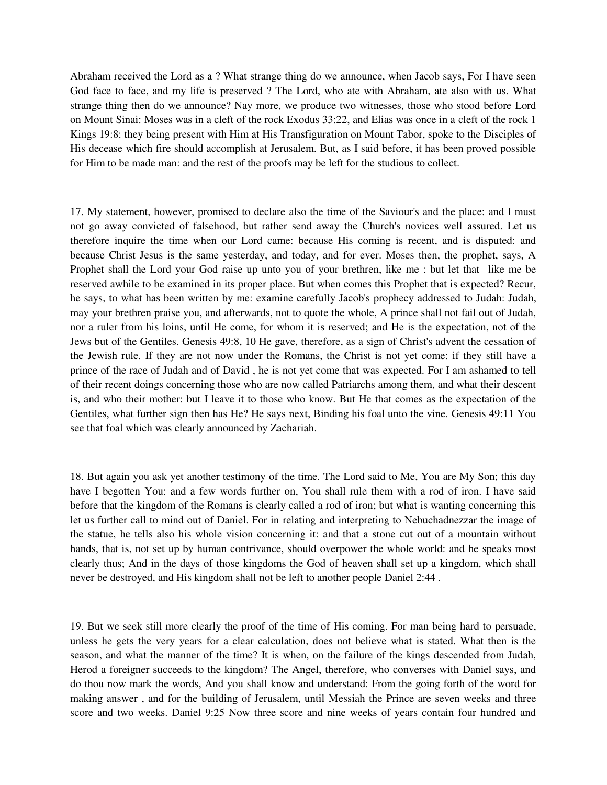Abraham received the Lord as a ? What strange thing do we announce, when Jacob says, For I have seen God face to face, and my life is preserved ? The Lord, who ate with Abraham, ate also with us. What strange thing then do we announce? Nay more, we produce two witnesses, those who stood before Lord on Mount Sinai: Moses was in a cleft of the rock Exodus 33:22, and Elias was once in a cleft of the rock 1 Kings 19:8: they being present with Him at His Transfiguration on Mount Tabor, spoke to the Disciples of His decease which fire should accomplish at Jerusalem. But, as I said before, it has been proved possible for Him to be made man: and the rest of the proofs may be left for the studious to collect.

17. My statement, however, promised to declare also the time of the Saviour's and the place: and I must not go away convicted of falsehood, but rather send away the Church's novices well assured. Let us therefore inquire the time when our Lord came: because His coming is recent, and is disputed: and because Christ Jesus is the same yesterday, and today, and for ever. Moses then, the prophet, says, A Prophet shall the Lord your God raise up unto you of your brethren, like me : but let that like me be reserved awhile to be examined in its proper place. But when comes this Prophet that is expected? Recur, he says, to what has been written by me: examine carefully Jacob's prophecy addressed to Judah: Judah, may your brethren praise you, and afterwards, not to quote the whole, A prince shall not fail out of Judah, nor a ruler from his loins, until He come, for whom it is reserved; and He is the expectation, not of the Jews but of the Gentiles. Genesis 49:8, 10 He gave, therefore, as a sign of Christ's advent the cessation of the Jewish rule. If they are not now under the Romans, the Christ is not yet come: if they still have a prince of the race of Judah and of David , he is not yet come that was expected. For I am ashamed to tell of their recent doings concerning those who are now called Patriarchs among them, and what their descent is, and who their mother: but I leave it to those who know. But He that comes as the expectation of the Gentiles, what further sign then has He? He says next, Binding his foal unto the vine. Genesis 49:11 You see that foal which was clearly announced by Zachariah.

18. But again you ask yet another testimony of the time. The Lord said to Me, You are My Son; this day have I begotten You: and a few words further on, You shall rule them with a rod of iron. I have said before that the kingdom of the Romans is clearly called a rod of iron; but what is wanting concerning this let us further call to mind out of Daniel. For in relating and interpreting to Nebuchadnezzar the image of the statue, he tells also his whole vision concerning it: and that a stone cut out of a mountain without hands, that is, not set up by human contrivance, should overpower the whole world: and he speaks most clearly thus; And in the days of those kingdoms the God of heaven shall set up a kingdom, which shall never be destroyed, and His kingdom shall not be left to another people Daniel 2:44 .

19. But we seek still more clearly the proof of the time of His coming. For man being hard to persuade, unless he gets the very years for a clear calculation, does not believe what is stated. What then is the season, and what the manner of the time? It is when, on the failure of the kings descended from Judah, Herod a foreigner succeeds to the kingdom? The Angel, therefore, who converses with Daniel says, and do thou now mark the words, And you shall know and understand: From the going forth of the word for making answer , and for the building of Jerusalem, until Messiah the Prince are seven weeks and three score and two weeks. Daniel 9:25 Now three score and nine weeks of years contain four hundred and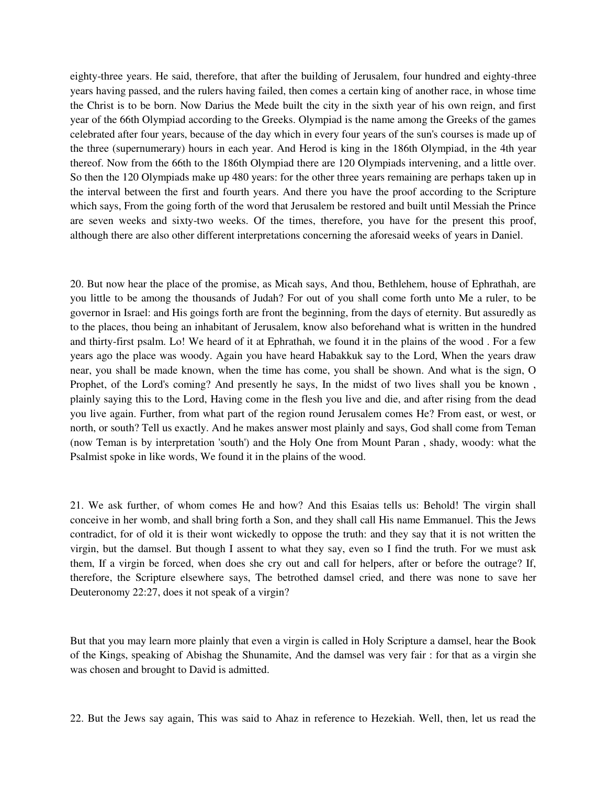eighty-three years. He said, therefore, that after the building of Jerusalem, four hundred and eighty-three years having passed, and the rulers having failed, then comes a certain king of another race, in whose time the Christ is to be born. Now Darius the Mede built the city in the sixth year of his own reign, and first year of the 66th Olympiad according to the Greeks. Olympiad is the name among the Greeks of the games celebrated after four years, because of the day which in every four years of the sun's courses is made up of the three (supernumerary) hours in each year. And Herod is king in the 186th Olympiad, in the 4th year thereof. Now from the 66th to the 186th Olympiad there are 120 Olympiads intervening, and a little over. So then the 120 Olympiads make up 480 years: for the other three years remaining are perhaps taken up in the interval between the first and fourth years. And there you have the proof according to the Scripture which says, From the going forth of the word that Jerusalem be restored and built until Messiah the Prince are seven weeks and sixty-two weeks. Of the times, therefore, you have for the present this proof, although there are also other different interpretations concerning the aforesaid weeks of years in Daniel.

20. But now hear the place of the promise, as Micah says, And thou, Bethlehem, house of Ephrathah, are you little to be among the thousands of Judah? For out of you shall come forth unto Me a ruler, to be governor in Israel: and His goings forth are front the beginning, from the days of eternity. But assuredly as to the places, thou being an inhabitant of Jerusalem, know also beforehand what is written in the hundred and thirty-first psalm. Lo! We heard of it at Ephrathah, we found it in the plains of the wood . For a few years ago the place was woody. Again you have heard Habakkuk say to the Lord, When the years draw near, you shall be made known, when the time has come, you shall be shown. And what is the sign, O Prophet, of the Lord's coming? And presently he says, In the midst of two lives shall you be known , plainly saying this to the Lord, Having come in the flesh you live and die, and after rising from the dead you live again. Further, from what part of the region round Jerusalem comes He? From east, or west, or north, or south? Tell us exactly. And he makes answer most plainly and says, God shall come from Teman (now Teman is by interpretation 'south') and the Holy One from Mount Paran , shady, woody: what the Psalmist spoke in like words, We found it in the plains of the wood.

21. We ask further, of whom comes He and how? And this Esaias tells us: Behold! The virgin shall conceive in her womb, and shall bring forth a Son, and they shall call His name Emmanuel. This the Jews contradict, for of old it is their wont wickedly to oppose the truth: and they say that it is not written the virgin, but the damsel. But though I assent to what they say, even so I find the truth. For we must ask them, If a virgin be forced, when does she cry out and call for helpers, after or before the outrage? If, therefore, the Scripture elsewhere says, The betrothed damsel cried, and there was none to save her Deuteronomy 22:27, does it not speak of a virgin?

But that you may learn more plainly that even a virgin is called in Holy Scripture a damsel, hear the Book of the Kings, speaking of Abishag the Shunamite, And the damsel was very fair : for that as a virgin she was chosen and brought to David is admitted.

22. But the Jews say again, This was said to Ahaz in reference to Hezekiah. Well, then, let us read the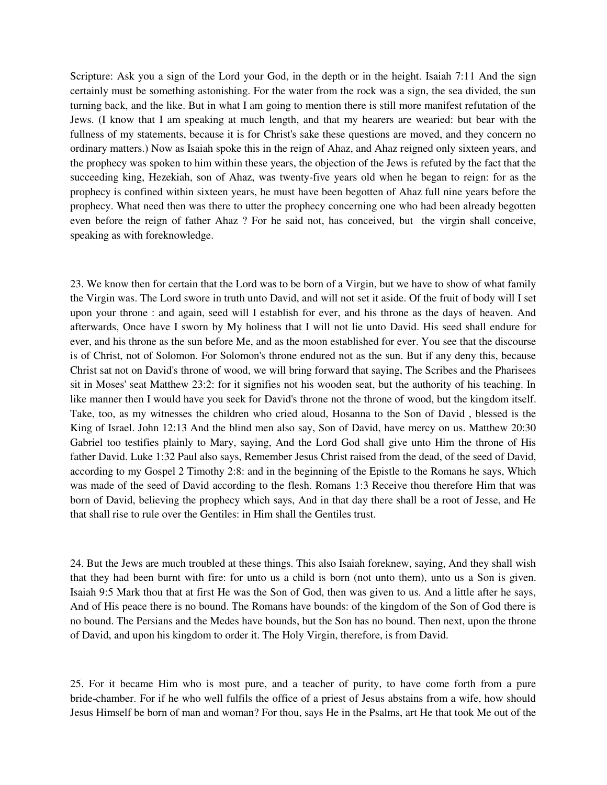Scripture: Ask you a sign of the Lord your God, in the depth or in the height. Isaiah 7:11 And the sign certainly must be something astonishing. For the water from the rock was a sign, the sea divided, the sun turning back, and the like. But in what I am going to mention there is still more manifest refutation of the Jews. (I know that I am speaking at much length, and that my hearers are wearied: but bear with the fullness of my statements, because it is for Christ's sake these questions are moved, and they concern no ordinary matters.) Now as Isaiah spoke this in the reign of Ahaz, and Ahaz reigned only sixteen years, and the prophecy was spoken to him within these years, the objection of the Jews is refuted by the fact that the succeeding king, Hezekiah, son of Ahaz, was twenty-five years old when he began to reign: for as the prophecy is confined within sixteen years, he must have been begotten of Ahaz full nine years before the prophecy. What need then was there to utter the prophecy concerning one who had been already begotten even before the reign of father Ahaz ? For he said not, has conceived, but the virgin shall conceive, speaking as with foreknowledge.

23. We know then for certain that the Lord was to be born of a Virgin, but we have to show of what family the Virgin was. The Lord swore in truth unto David, and will not set it aside. Of the fruit of body will I set upon your throne : and again, seed will I establish for ever, and his throne as the days of heaven. And afterwards, Once have I sworn by My holiness that I will not lie unto David. His seed shall endure for ever, and his throne as the sun before Me, and as the moon established for ever. You see that the discourse is of Christ, not of Solomon. For Solomon's throne endured not as the sun. But if any deny this, because Christ sat not on David's throne of wood, we will bring forward that saying, The Scribes and the Pharisees sit in Moses' seat Matthew 23:2: for it signifies not his wooden seat, but the authority of his teaching. In like manner then I would have you seek for David's throne not the throne of wood, but the kingdom itself. Take, too, as my witnesses the children who cried aloud, Hosanna to the Son of David , blessed is the King of Israel. John 12:13 And the blind men also say, Son of David, have mercy on us. Matthew 20:30 Gabriel too testifies plainly to Mary, saying, And the Lord God shall give unto Him the throne of His father David. Luke 1:32 Paul also says, Remember Jesus Christ raised from the dead, of the seed of David, according to my Gospel 2 Timothy 2:8: and in the beginning of the Epistle to the Romans he says, Which was made of the seed of David according to the flesh. Romans 1:3 Receive thou therefore Him that was born of David, believing the prophecy which says, And in that day there shall be a root of Jesse, and He that shall rise to rule over the Gentiles: in Him shall the Gentiles trust.

24. But the Jews are much troubled at these things. This also Isaiah foreknew, saying, And they shall wish that they had been burnt with fire: for unto us a child is born (not unto them), unto us a Son is given. Isaiah 9:5 Mark thou that at first He was the Son of God, then was given to us. And a little after he says, And of His peace there is no bound. The Romans have bounds: of the kingdom of the Son of God there is no bound. The Persians and the Medes have bounds, but the Son has no bound. Then next, upon the throne of David, and upon his kingdom to order it. The Holy Virgin, therefore, is from David.

25. For it became Him who is most pure, and a teacher of purity, to have come forth from a pure bride-chamber. For if he who well fulfils the office of a priest of Jesus abstains from a wife, how should Jesus Himself be born of man and woman? For thou, says He in the Psalms, art He that took Me out of the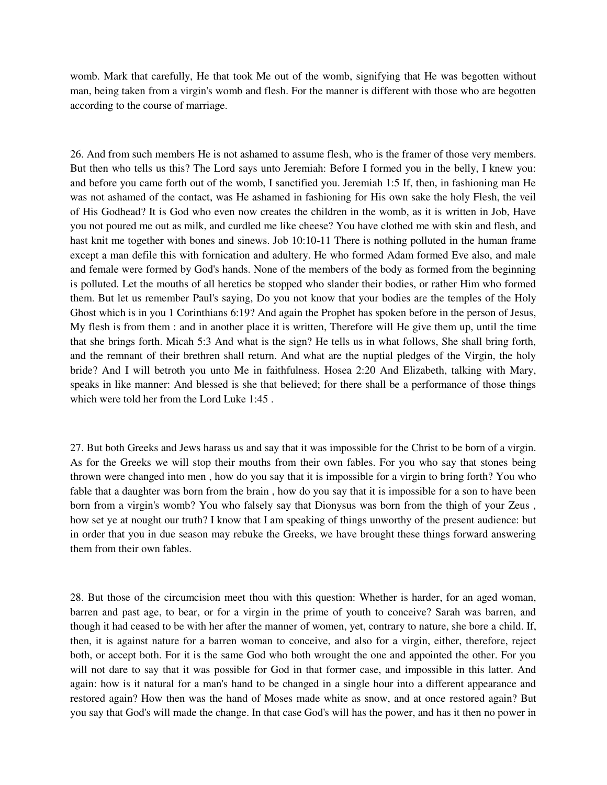womb. Mark that carefully, He that took Me out of the womb, signifying that He was begotten without man, being taken from a virgin's womb and flesh. For the manner is different with those who are begotten according to the course of marriage.

26. And from such members He is not ashamed to assume flesh, who is the framer of those very members. But then who tells us this? The Lord says unto Jeremiah: Before I formed you in the belly, I knew you: and before you came forth out of the womb, I sanctified you. Jeremiah 1:5 If, then, in fashioning man He was not ashamed of the contact, was He ashamed in fashioning for His own sake the holy Flesh, the veil of His Godhead? It is God who even now creates the children in the womb, as it is written in Job, Have you not poured me out as milk, and curdled me like cheese? You have clothed me with skin and flesh, and hast knit me together with bones and sinews. Job 10:10-11 There is nothing polluted in the human frame except a man defile this with fornication and adultery. He who formed Adam formed Eve also, and male and female were formed by God's hands. None of the members of the body as formed from the beginning is polluted. Let the mouths of all heretics be stopped who slander their bodies, or rather Him who formed them. But let us remember Paul's saying, Do you not know that your bodies are the temples of the Holy Ghost which is in you 1 Corinthians 6:19? And again the Prophet has spoken before in the person of Jesus, My flesh is from them : and in another place it is written, Therefore will He give them up, until the time that she brings forth. Micah 5:3 And what is the sign? He tells us in what follows, She shall bring forth, and the remnant of their brethren shall return. And what are the nuptial pledges of the Virgin, the holy bride? And I will betroth you unto Me in faithfulness. Hosea 2:20 And Elizabeth, talking with Mary, speaks in like manner: And blessed is she that believed; for there shall be a performance of those things which were told her from the Lord Luke 1:45 .

27. But both Greeks and Jews harass us and say that it was impossible for the Christ to be born of a virgin. As for the Greeks we will stop their mouths from their own fables. For you who say that stones being thrown were changed into men , how do you say that it is impossible for a virgin to bring forth? You who fable that a daughter was born from the brain, how do you say that it is impossible for a son to have been born from a virgin's womb? You who falsely say that Dionysus was born from the thigh of your Zeus , how set ye at nought our truth? I know that I am speaking of things unworthy of the present audience: but in order that you in due season may rebuke the Greeks, we have brought these things forward answering them from their own fables.

28. But those of the circumcision meet thou with this question: Whether is harder, for an aged woman, barren and past age, to bear, or for a virgin in the prime of youth to conceive? Sarah was barren, and though it had ceased to be with her after the manner of women, yet, contrary to nature, she bore a child. If, then, it is against nature for a barren woman to conceive, and also for a virgin, either, therefore, reject both, or accept both. For it is the same God who both wrought the one and appointed the other. For you will not dare to say that it was possible for God in that former case, and impossible in this latter. And again: how is it natural for a man's hand to be changed in a single hour into a different appearance and restored again? How then was the hand of Moses made white as snow, and at once restored again? But you say that God's will made the change. In that case God's will has the power, and has it then no power in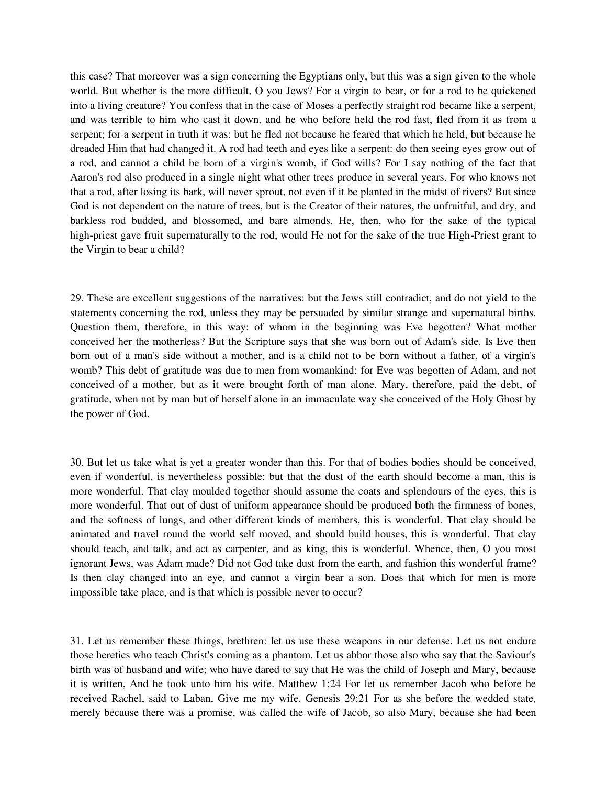this case? That moreover was a sign concerning the Egyptians only, but this was a sign given to the whole world. But whether is the more difficult, O you Jews? For a virgin to bear, or for a rod to be quickened into a living creature? You confess that in the case of Moses a perfectly straight rod became like a serpent, and was terrible to him who cast it down, and he who before held the rod fast, fled from it as from a serpent; for a serpent in truth it was: but he fled not because he feared that which he held, but because he dreaded Him that had changed it. A rod had teeth and eyes like a serpent: do then seeing eyes grow out of a rod, and cannot a child be born of a virgin's womb, if God wills? For I say nothing of the fact that Aaron's rod also produced in a single night what other trees produce in several years. For who knows not that a rod, after losing its bark, will never sprout, not even if it be planted in the midst of rivers? But since God is not dependent on the nature of trees, but is the Creator of their natures, the unfruitful, and dry, and barkless rod budded, and blossomed, and bare almonds. He, then, who for the sake of the typical high-priest gave fruit supernaturally to the rod, would He not for the sake of the true High-Priest grant to the Virgin to bear a child?

29. These are excellent suggestions of the narratives: but the Jews still contradict, and do not yield to the statements concerning the rod, unless they may be persuaded by similar strange and supernatural births. Question them, therefore, in this way: of whom in the beginning was Eve begotten? What mother conceived her the motherless? But the Scripture says that she was born out of Adam's side. Is Eve then born out of a man's side without a mother, and is a child not to be born without a father, of a virgin's womb? This debt of gratitude was due to men from womankind: for Eve was begotten of Adam, and not conceived of a mother, but as it were brought forth of man alone. Mary, therefore, paid the debt, of gratitude, when not by man but of herself alone in an immaculate way she conceived of the Holy Ghost by the power of God.

30. But let us take what is yet a greater wonder than this. For that of bodies bodies should be conceived, even if wonderful, is nevertheless possible: but that the dust of the earth should become a man, this is more wonderful. That clay moulded together should assume the coats and splendours of the eyes, this is more wonderful. That out of dust of uniform appearance should be produced both the firmness of bones, and the softness of lungs, and other different kinds of members, this is wonderful. That clay should be animated and travel round the world self moved, and should build houses, this is wonderful. That clay should teach, and talk, and act as carpenter, and as king, this is wonderful. Whence, then, O you most ignorant Jews, was Adam made? Did not God take dust from the earth, and fashion this wonderful frame? Is then clay changed into an eye, and cannot a virgin bear a son. Does that which for men is more impossible take place, and is that which is possible never to occur?

31. Let us remember these things, brethren: let us use these weapons in our defense. Let us not endure those heretics who teach Christ's coming as a phantom. Let us abhor those also who say that the Saviour's birth was of husband and wife; who have dared to say that He was the child of Joseph and Mary, because it is written, And he took unto him his wife. Matthew 1:24 For let us remember Jacob who before he received Rachel, said to Laban, Give me my wife. Genesis 29:21 For as she before the wedded state, merely because there was a promise, was called the wife of Jacob, so also Mary, because she had been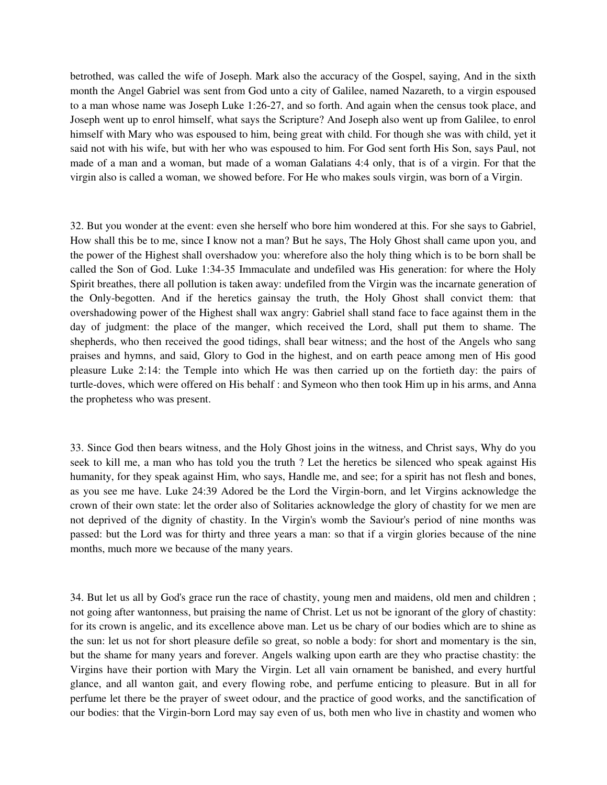betrothed, was called the wife of Joseph. Mark also the accuracy of the Gospel, saying, And in the sixth month the Angel Gabriel was sent from God unto a city of Galilee, named Nazareth, to a virgin espoused to a man whose name was Joseph Luke 1:26-27, and so forth. And again when the census took place, and Joseph went up to enrol himself, what says the Scripture? And Joseph also went up from Galilee, to enrol himself with Mary who was espoused to him, being great with child. For though she was with child, yet it said not with his wife, but with her who was espoused to him. For God sent forth His Son, says Paul, not made of a man and a woman, but made of a woman Galatians 4:4 only, that is of a virgin. For that the virgin also is called a woman, we showed before. For He who makes souls virgin, was born of a Virgin.

32. But you wonder at the event: even she herself who bore him wondered at this. For she says to Gabriel, How shall this be to me, since I know not a man? But he says, The Holy Ghost shall came upon you, and the power of the Highest shall overshadow you: wherefore also the holy thing which is to be born shall be called the Son of God. Luke 1:34-35 Immaculate and undefiled was His generation: for where the Holy Spirit breathes, there all pollution is taken away: undefiled from the Virgin was the incarnate generation of the Only-begotten. And if the heretics gainsay the truth, the Holy Ghost shall convict them: that overshadowing power of the Highest shall wax angry: Gabriel shall stand face to face against them in the day of judgment: the place of the manger, which received the Lord, shall put them to shame. The shepherds, who then received the good tidings, shall bear witness; and the host of the Angels who sang praises and hymns, and said, Glory to God in the highest, and on earth peace among men of His good pleasure Luke 2:14: the Temple into which He was then carried up on the fortieth day: the pairs of turtle-doves, which were offered on His behalf : and Symeon who then took Him up in his arms, and Anna the prophetess who was present.

33. Since God then bears witness, and the Holy Ghost joins in the witness, and Christ says, Why do you seek to kill me, a man who has told you the truth ? Let the heretics be silenced who speak against His humanity, for they speak against Him, who says, Handle me, and see; for a spirit has not flesh and bones, as you see me have. Luke 24:39 Adored be the Lord the Virgin-born, and let Virgins acknowledge the crown of their own state: let the order also of Solitaries acknowledge the glory of chastity for we men are not deprived of the dignity of chastity. In the Virgin's womb the Saviour's period of nine months was passed: but the Lord was for thirty and three years a man: so that if a virgin glories because of the nine months, much more we because of the many years.

34. But let us all by God's grace run the race of chastity, young men and maidens, old men and children ; not going after wantonness, but praising the name of Christ. Let us not be ignorant of the glory of chastity: for its crown is angelic, and its excellence above man. Let us be chary of our bodies which are to shine as the sun: let us not for short pleasure defile so great, so noble a body: for short and momentary is the sin, but the shame for many years and forever. Angels walking upon earth are they who practise chastity: the Virgins have their portion with Mary the Virgin. Let all vain ornament be banished, and every hurtful glance, and all wanton gait, and every flowing robe, and perfume enticing to pleasure. But in all for perfume let there be the prayer of sweet odour, and the practice of good works, and the sanctification of our bodies: that the Virgin-born Lord may say even of us, both men who live in chastity and women who